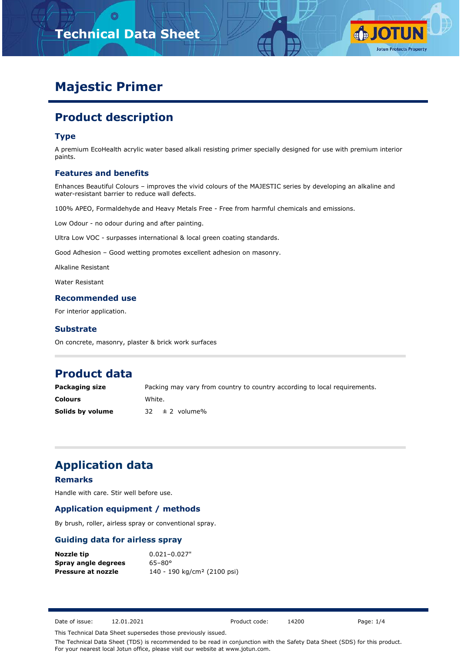



# **Majestic Primer**

# **Product description**

#### **Type**

A premium EcoHealth acrylic water based alkali resisting primer specially designed for use with premium interior paints.

#### **Features and benefits**

Enhances Beautiful Colours – improves the vivid colours of the MAJESTIC series by developing an alkaline and water-resistant barrier to reduce wall defects.

100% APEO, Formaldehyde and Heavy Metals Free - Free from harmful chemicals and emissions.

Low Odour - no odour during and after painting.

Ultra Low VOC - surpasses international & local green coating standards.

Good Adhesion – Good wetting promotes excellent adhesion on masonry.

Alkaline Resistant

Water Resistant

#### **Recommended use**

For interior application.

#### **Substrate**

On concrete, masonry, plaster & brick work surfaces

### **Product data**

| Packaging size   | Packing may vary from country to country according to local requirements. |
|------------------|---------------------------------------------------------------------------|
| <b>Colours</b>   | White.                                                                    |
| Solids by volume | $32 \pm 2$ volume%                                                        |

### **Application data**

#### **Remarks**

Handle with care. Stir well before use.

#### **Application equipment / methods**

By brush, roller, airless spray or conventional spray.

#### **Guiding data for airless spray**

| Nozzle tip          | $0.021 - 0.027"$                        |
|---------------------|-----------------------------------------|
| Spray angle degrees | $65 - 80^{\circ}$                       |
| Pressure at nozzle  | 140 - 190 kg/cm <sup>2</sup> (2100 psi) |

Date of issue: 12.01.2021 Product code: 14200 Page: 1/4

This Technical Data Sheet supersedes those previously issued.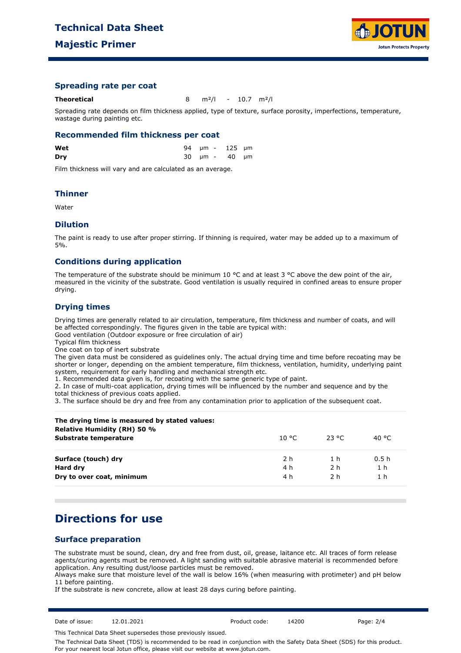

#### **Spreading rate per coat**

**Theoretical** 8 m²/l - 10.7 m²/l

Spreading rate depends on film thickness applied, type of texture, surface porosity, imperfections, temperature, wastage during painting etc.

#### **Recommended film thickness per coat**

| Wet |  | 94 µm - 125 µm |  |
|-----|--|----------------|--|
| Dry |  | 30 µm - 40 µm  |  |

Film thickness will vary and are calculated as an average.

#### **Thinner**

Water

#### **Dilution**

The paint is ready to use after proper stirring. If thinning is required, water may be added up to a maximum of 5%.

#### **Conditions during application**

The temperature of the substrate should be minimum 10  $^{\circ}$ C and at least 3  $^{\circ}$ C above the dew point of the air, measured in the vicinity of the substrate. Good ventilation is usually required in confined areas to ensure proper drying.

#### **Drying times**

Drying times are generally related to air circulation, temperature, film thickness and number of coats, and will be affected correspondingly. The figures given in the table are typical with:

Good ventilation (Outdoor exposure or free circulation of air)

Typical film thickness

One coat on top of inert substrate

The given data must be considered as guidelines only. The actual drying time and time before recoating may be shorter or longer, depending on the ambient temperature, film thickness, ventilation, humidity, underlying paint system, requirement for early handling and mechanical strength etc.

1. Recommended data given is, for recoating with the same generic type of paint.

2. In case of multi-coat application, drying times will be influenced by the number and sequence and by the total thickness of previous coats applied.

3. The surface should be dry and free from any contamination prior to application of the subsequent coat.

| The drying time is measured by stated values:<br>Relative Humidity (RH) 50 % |        |          |                |
|------------------------------------------------------------------------------|--------|----------|----------------|
| Substrate temperature                                                        | 10 °C. | - 23 °C. | 40 °C.         |
| Surface (touch) dry                                                          | 2 h    | 1 h      | 0.5h           |
| Hard dry                                                                     | 4 h    | 2 h      | 1 <sub>h</sub> |
| Dry to over coat, minimum                                                    | 4 h    | 2 h      | 1 <sub>h</sub> |

### **Directions for use**

#### **Surface preparation**

The substrate must be sound, clean, dry and free from dust, oil, grease, laitance etc. All traces of form release agents/curing agents must be removed. A light sanding with suitable abrasive material is recommended before application. Any resulting dust/loose particles must be removed.

Always make sure that moisture level of the wall is below 16% (when measuring with protimeter) and pH below 11 before painting.

If the substrate is new concrete, allow at least 28 days curing before painting.

Date of issue: 12.01.2021 Product code: 14200 Page: 2/4

This Technical Data Sheet supersedes those previously issued.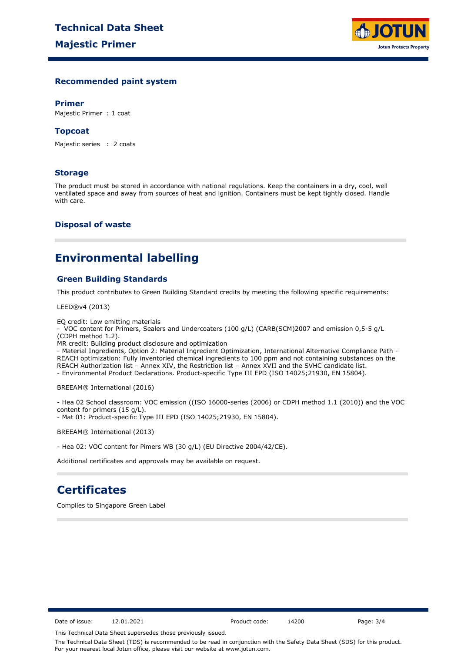

### **Recommended paint system**

#### **Primer**

Majestic Primer : 1 coat

#### **Topcoat**

Majestic series : 2 coats

#### **Storage**

The product must be stored in accordance with national regulations. Keep the containers in a dry, cool, well ventilated space and away from sources of heat and ignition. Containers must be kept tightly closed. Handle with care.

#### **Disposal of waste**

### **Environmental labelling**

### **Green Building Standards**

This product contributes to Green Building Standard credits by meeting the following specific requirements:

LEED®v4 (2013)

EQ credit: Low emitting materials

- VOC content for Primers, Sealers and Undercoaters (100 g/L) (CARB(SCM)2007 and emission 0,5-5 g/L (CDPH method 1.2).

MR credit: Building product disclosure and optimization

- Material Ingredients, Option 2: Material Ingredient Optimization, International Alternative Compliance Path - REACH optimization: Fully inventoried chemical ingredients to 100 ppm and not containing substances on the REACH Authorization list – Annex XIV, the Restriction list – Annex XVII and the SVHC candidate list. - Environmental Product Declarations. Product-specific Type III EPD (ISO 14025;21930, EN 15804).

BREEAM® International (2016)

- Hea 02 School classroom: VOC emission ((ISO 16000-series (2006) or CDPH method 1.1 (2010)) and the VOC content for primers (15 g/L).

- Mat 01: Product-specific Type III EPD (ISO 14025;21930, EN 15804).

BREEAM® International (2013)

- Hea 02: VOC content for Pimers WB (30 g/L) (EU Directive 2004/42/CE).

Additional certificates and approvals may be available on request.

## **Certificates**

Complies to Singapore Green Label

Date of issue: 12.01.2021 Product code: 14200 Page: 3/4

This Technical Data Sheet supersedes those previously issued.